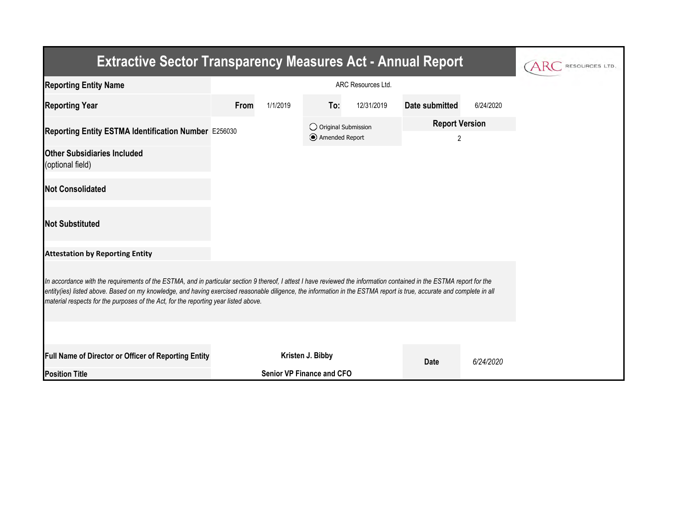| <b>Extractive Sector Transparency Measures Act - Annual Report</b>                                                                                                                                                                                                                                                                                                                                                                    |      |          |                                         |            |                                         |           |  |  |  |  |
|---------------------------------------------------------------------------------------------------------------------------------------------------------------------------------------------------------------------------------------------------------------------------------------------------------------------------------------------------------------------------------------------------------------------------------------|------|----------|-----------------------------------------|------------|-----------------------------------------|-----------|--|--|--|--|
| <b>Reporting Entity Name</b>                                                                                                                                                                                                                                                                                                                                                                                                          |      |          |                                         |            |                                         |           |  |  |  |  |
| <b>Reporting Year</b>                                                                                                                                                                                                                                                                                                                                                                                                                 | From | 1/1/2019 | To:                                     | 12/31/2019 | Date submitted                          | 6/24/2020 |  |  |  |  |
| Reporting Entity ESTMA Identification Number E256030                                                                                                                                                                                                                                                                                                                                                                                  |      |          | O Original Submission<br>Amended Report |            | <b>Report Version</b><br>$\overline{2}$ |           |  |  |  |  |
| <b>Other Subsidiaries Included</b><br>(optional field)                                                                                                                                                                                                                                                                                                                                                                                |      |          |                                         |            |                                         |           |  |  |  |  |
| <b>Not Consolidated</b>                                                                                                                                                                                                                                                                                                                                                                                                               |      |          |                                         |            |                                         |           |  |  |  |  |
| <b>Not Substituted</b>                                                                                                                                                                                                                                                                                                                                                                                                                |      |          |                                         |            |                                         |           |  |  |  |  |
| <b>Attestation by Reporting Entity</b>                                                                                                                                                                                                                                                                                                                                                                                                |      |          |                                         |            |                                         |           |  |  |  |  |
| In accordance with the requirements of the ESTMA, and in particular section 9 thereof, I attest I have reviewed the information contained in the ESTMA report for the<br>entity(ies) listed above. Based on my knowledge, and having exercised reasonable diligence, the information in the ESTMA report is true, accurate and complete in all<br>material respects for the purposes of the Act, for the reporting year listed above. |      |          |                                         |            |                                         |           |  |  |  |  |
|                                                                                                                                                                                                                                                                                                                                                                                                                                       |      |          |                                         |            |                                         |           |  |  |  |  |
| Full Name of Director or Officer of Reporting Entity                                                                                                                                                                                                                                                                                                                                                                                  |      |          | Kristen J. Bibby                        |            | <b>Date</b>                             | 6/24/2020 |  |  |  |  |
| <b>Position Title</b>                                                                                                                                                                                                                                                                                                                                                                                                                 |      |          | <b>Senior VP Finance and CFO</b>        |            |                                         |           |  |  |  |  |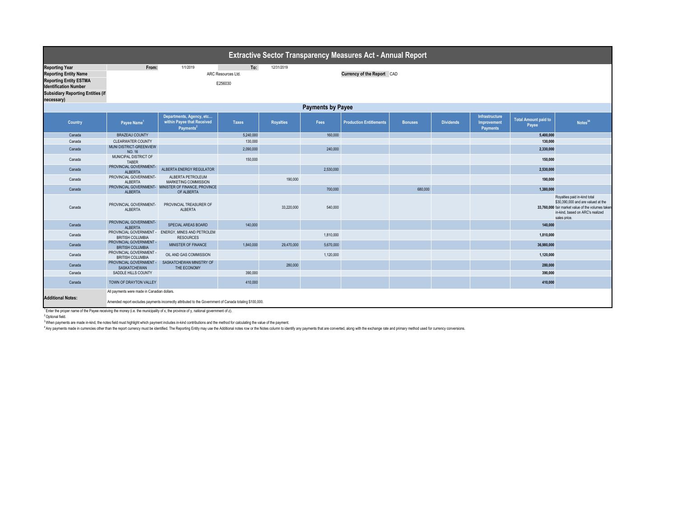| <b>Extractive Sector Transparency Measures Act - Annual Report</b>                                                                                                    |                                                    |                                                                                                         |                    |                  |                            |                                |                |                  |                                                         |                                      |                                                                                                                                                                             |  |
|-----------------------------------------------------------------------------------------------------------------------------------------------------------------------|----------------------------------------------------|---------------------------------------------------------------------------------------------------------|--------------------|------------------|----------------------------|--------------------------------|----------------|------------------|---------------------------------------------------------|--------------------------------------|-----------------------------------------------------------------------------------------------------------------------------------------------------------------------------|--|
| <b>Reporting Year</b>                                                                                                                                                 | From:                                              | 1/1/2019                                                                                                | To:                | 12/31/2019       |                            |                                |                |                  |                                                         |                                      |                                                                                                                                                                             |  |
| <b>Reporting Entity Name</b>                                                                                                                                          |                                                    |                                                                                                         | ARC Resources Ltd. |                  | Currency of the Report CAD |                                |                |                  |                                                         |                                      |                                                                                                                                                                             |  |
| <b>Reporting Entity ESTMA</b>                                                                                                                                         | E256030                                            |                                                                                                         |                    |                  |                            |                                |                |                  |                                                         |                                      |                                                                                                                                                                             |  |
| <b>Identification Number</b>                                                                                                                                          |                                                    |                                                                                                         |                    |                  |                            |                                |                |                  |                                                         |                                      |                                                                                                                                                                             |  |
| <b>Subsidiary Reporting Entities (if</b>                                                                                                                              |                                                    |                                                                                                         |                    |                  |                            |                                |                |                  |                                                         |                                      |                                                                                                                                                                             |  |
| necessary)                                                                                                                                                            |                                                    |                                                                                                         |                    |                  |                            |                                |                |                  |                                                         |                                      |                                                                                                                                                                             |  |
|                                                                                                                                                                       | <b>Payments by Payee</b>                           |                                                                                                         |                    |                  |                            |                                |                |                  |                                                         |                                      |                                                                                                                                                                             |  |
| Country                                                                                                                                                               | Payee Name                                         | Departments, Agency, etc<br>within Payee that Received<br>Payments <sup>2</sup>                         | <b>Taxes</b>       | <b>Royalties</b> | <b>Fees</b>                | <b>Production Entitlements</b> | <b>Bonuses</b> | <b>Dividends</b> | <b>Infrastructure</b><br>Improvement<br><b>Payments</b> | <b>Total Amount paid to</b><br>Payee | Notes <sup>34</sup>                                                                                                                                                         |  |
| Canada                                                                                                                                                                | <b>BRAZEAU COUNTY</b>                              |                                                                                                         | 5,240,000          |                  | 160,000                    |                                |                |                  |                                                         | 5,400,000                            |                                                                                                                                                                             |  |
| Canada                                                                                                                                                                | <b>CLEARWATER COUNTY</b>                           |                                                                                                         | 130,000            |                  |                            |                                |                |                  |                                                         | 130,000                              |                                                                                                                                                                             |  |
| Canada                                                                                                                                                                | MUNI DISTRICT-GREENVIEW<br>NO. 16                  |                                                                                                         | 2,090,000          |                  | 240,000                    |                                |                |                  |                                                         | 2,330,000                            |                                                                                                                                                                             |  |
| Canada                                                                                                                                                                | MUNICIPAL DISTRICT OF<br>TABER                     |                                                                                                         | 150,000            |                  |                            |                                |                |                  |                                                         | 150,000                              |                                                                                                                                                                             |  |
| Canada                                                                                                                                                                | PROVINCIAL GOVERNMENT-<br>ALBERTA                  | ALBERTA ENERGY REGULATOR                                                                                |                    |                  | 2,530,000                  |                                |                |                  |                                                         | 2,530,000                            |                                                                                                                                                                             |  |
| Canada                                                                                                                                                                | PROVINCIAL GOVERNMENT-<br>ALBERTA                  | ALBERTA PETROLEUM<br>MARKETING COMMISSION                                                               |                    | 190,000          |                            |                                |                |                  |                                                         | 190,000                              |                                                                                                                                                                             |  |
| Canada                                                                                                                                                                | <b>ALBERTA</b>                                     | PROVINCIAL GOVERNMENT- MINISTER OF FINANCE, PROVINCE<br>OF ALBERTA                                      |                    |                  | 700,000                    |                                | 680,000        |                  |                                                         | 1,380,000                            |                                                                                                                                                                             |  |
| Canada                                                                                                                                                                | PROVINCIAL GOVERNMENT-<br><b>ALBERTA</b>           | PROVINCIAL TREASURER OF<br><b>ALBERTA</b>                                                               |                    | 33,220,000       | 540,000                    |                                |                |                  |                                                         |                                      | Royalties paid in-kind total<br>\$30,390,000 and are valued at the<br>33,760,000 fair market value of the volumes taker<br>in-kind, based on ARC's realized<br>sales price. |  |
| Canada                                                                                                                                                                | PROVINCIAL GOVERNMENT-<br><b>ALBERTA</b>           | SPECIAL AREAS BOARD                                                                                     | 140,000            |                  |                            |                                |                |                  |                                                         | 140,000                              |                                                                                                                                                                             |  |
| Canada                                                                                                                                                                | PROVINCIAL GOVERNMENT -<br><b>BRITISH COLUMBIA</b> | ENERGY, MINES AND PETROLEM<br><b>RESOURCES</b>                                                          |                    |                  | 1.810.000                  |                                |                |                  |                                                         | 1,810,000                            |                                                                                                                                                                             |  |
| Canada                                                                                                                                                                | PROVINCIAL GOVERNMENT -<br><b>BRITISH COLUMBIA</b> | MINISTER OF FINANCE                                                                                     | 1,840,000          | 29,470,000       | 5,670,000                  |                                |                |                  |                                                         | 36,980,000                           |                                                                                                                                                                             |  |
| Canada                                                                                                                                                                | PROVINCIAL GOVERNMENT -<br><b>BRITISH COLUMBIA</b> | OIL AND GAS COMMISSION                                                                                  |                    |                  | 1,120,000                  |                                |                |                  |                                                         | 1,120,000                            |                                                                                                                                                                             |  |
| Canada                                                                                                                                                                | PROVINCIAL GOVERNMENT -<br>SASKATCHEWAN            | SASKATCHEWAN MINISTRY OF<br>THE ECONOMY                                                                 |                    | 280,000          |                            |                                |                |                  |                                                         | 280,000                              |                                                                                                                                                                             |  |
| Canada                                                                                                                                                                | SADDLE HILLS COUNTY                                |                                                                                                         | 390,000            |                  |                            |                                |                |                  |                                                         | 390,000                              |                                                                                                                                                                             |  |
| Canada                                                                                                                                                                | TOWN OF DRAYTON VALLEY                             |                                                                                                         | 410,000            |                  |                            |                                |                |                  |                                                         | 410,000                              |                                                                                                                                                                             |  |
|                                                                                                                                                                       | All payments were made in Canadian dollars.        |                                                                                                         |                    |                  |                            |                                |                |                  |                                                         |                                      |                                                                                                                                                                             |  |
| <b>Additional Notes:</b>                                                                                                                                              |                                                    | Amended report excludes payments incorrectly attributed to the Government of Canada totaling \$100,000. |                    |                  |                            |                                |                |                  |                                                         |                                      |                                                                                                                                                                             |  |
| $1$ Enter the proper name of the Payee receiving the money (i.e. the municipality of x, the province of y, national government of z).<br><sup>2</sup> Optional field. |                                                    |                                                                                                         |                    |                  |                            |                                |                |                  |                                                         |                                      |                                                                                                                                                                             |  |

<sup>3</sup> When payments are made in-kind, the notes field must highlight which payment includes in-kind contributions and the method for calculating the value of the payment.

Any payments made in currencies other than the report currency must be identified. The Reporting Entity may use the Additional notes row or the Notes column to identify any payments that are converted, along with the excha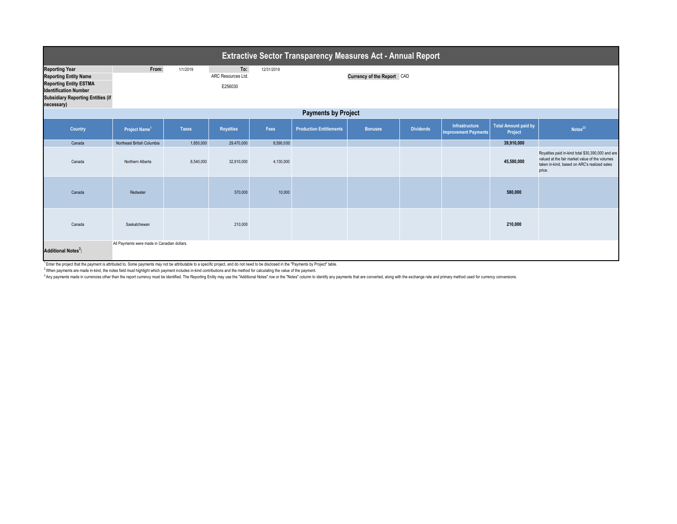| Extractive Sector Transparency Measures Act - Annual Report                                                                                                                      |                            |              |                                      |            |                                |                |                  |                                               |                                        |                                                                                                                                                               |  |
|----------------------------------------------------------------------------------------------------------------------------------------------------------------------------------|----------------------------|--------------|--------------------------------------|------------|--------------------------------|----------------|------------------|-----------------------------------------------|----------------------------------------|---------------------------------------------------------------------------------------------------------------------------------------------------------------|--|
| <b>Reporting Year</b><br><b>Reporting Entity Name</b><br><b>Reporting Entity ESTMA</b><br><b>Identification Number</b><br><b>Subsidiary Reporting Entities (if</b><br>necessary) | From:                      | 1/1/2019     | To:<br>ARC Resources Ltd.<br>E256030 | 12/31/2019 | Currency of the Report CAD     |                |                  |                                               |                                        |                                                                                                                                                               |  |
| <b>Payments by Project</b>                                                                                                                                                       |                            |              |                                      |            |                                |                |                  |                                               |                                        |                                                                                                                                                               |  |
| <b>Country</b>                                                                                                                                                                   | Project Name <sup>1</sup>  | <b>Taxes</b> | <b>Royalties</b>                     | Fees       | <b>Production Entitlements</b> | <b>Bonuses</b> | <b>Dividends</b> | Infrastructure<br><b>Improvement Payments</b> | <b>Total Amount paid by</b><br>Project | Notes <sup>23</sup>                                                                                                                                           |  |
| Canada                                                                                                                                                                           | Northeast British Columbia | 1,850,000    | 29,470,000                           | 8,590,000  |                                |                |                  |                                               | 39,910,000                             |                                                                                                                                                               |  |
| Canada                                                                                                                                                                           | Northern Alberta           | 8,540,000    | 32,910,000                           | 4,130,000  |                                |                |                  |                                               | 45,580,000                             | Royalties paid in-kind total \$30,390,000 and are<br>valued at the fair market value of the volumes<br>taken in-kind, based on ARC's realized sales<br>price. |  |
| Canada                                                                                                                                                                           | Redwater                   |              | 570,000                              | 10,000     |                                |                |                  |                                               | 580,000                                |                                                                                                                                                               |  |
| Canada                                                                                                                                                                           | Saskatchewan               |              | 210,000                              |            |                                |                |                  |                                               | 210,000                                |                                                                                                                                                               |  |
| All Payments were made in Canadian dollars.<br><b>Additional Notes<sup>3</sup>:</b>                                                                                              |                            |              |                                      |            |                                |                |                  |                                               |                                        |                                                                                                                                                               |  |

TEnter the project that the payment is attributed to. Some payments may not be attributable to a specific project, and do not need to be disclosed in the "Payments by Project" table.

<sup>2</sup> When payments are made in-kind, the notes field must highlight which payment includes in-kind contributions and the method for calculating the value of the payment.

<sup>3</sup> Any payments made in currencies other than the report currency must be identified. The Reporting Entity may use the "Additional Notes" row or the "Notes" column to identify any payments that are converted, along with t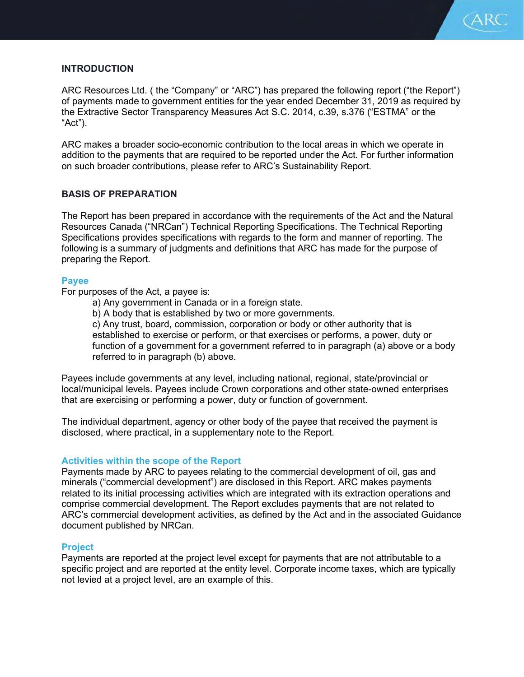

# **INTRODUCTION**

ARC Resources Ltd. ( the "Company" or "ARC") has prepared the following report ("the Report") of payments made to government entities for the year ended December 31, 2019 as required by the Extractive Sector Transparency Measures Act S.C. 2014, c.39, s.376 ("ESTMA" or the "Act").

ARC makes a broader socio-economic contribution to the local areas in which we operate in addition to the payments that are required to be reported under the Act. For further information on such broader contributions, please refer to ARC's Sustainability Report.

## BASIS OF PREPARATION

The Report has been prepared in accordance with the requirements of the Act and the Natural Resources Canada ("NRCan") Technical Reporting Specifications. The Technical Reporting Specifications provides specifications with regards to the form and manner of reporting. The following is a summary of judgments and definitions that ARC has made for the purpose of preparing the Report.

#### Payee

For purposes of the Act, a payee is:

- a) Any government in Canada or in a foreign state.
- b) A body that is established by two or more governments.

c) Any trust, board, commission, corporation or body or other authority that is established to exercise or perform, or that exercises or performs, a power, duty or function of a government for a government referred to in paragraph (a) above or a body referred to in paragraph (b) above.

Payees include governments at any level, including national, regional, state/provincial or local/municipal levels. Payees include Crown corporations and other state-owned enterprises that are exercising or performing a power, duty or function of government.

The individual department, agency or other body of the payee that received the payment is disclosed, where practical, in a supplementary note to the Report.

#### Activities within the scope of the Report

Payments made by ARC to payees relating to the commercial development of oil, gas and minerals ("commercial development") are disclosed in this Report. ARC makes payments related to its initial processing activities which are integrated with its extraction operations and comprise commercial development. The Report excludes payments that are not related to ARC's commercial development activities, as defined by the Act and in the associated Guidance document published by NRCan.

#### Project

Payments are reported at the project level except for payments that are not attributable to a specific project and are reported at the entity level. Corporate income taxes, which are typically not levied at a project level, are an example of this.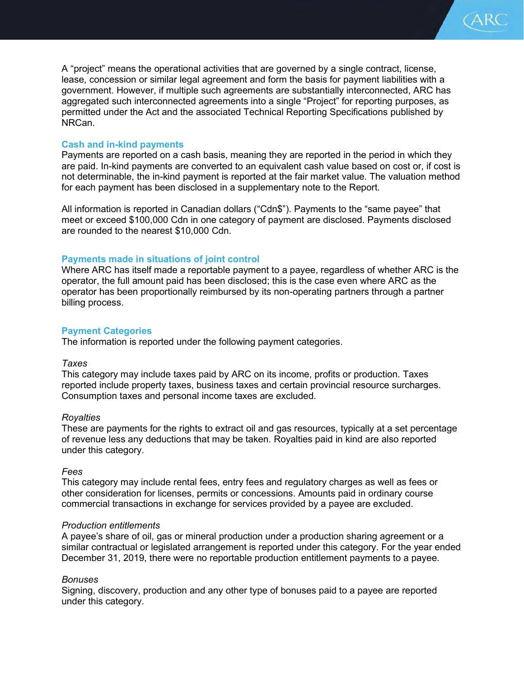A "project" means the operational activities that are governed by a single contract, license, lease, concession or similar legal agreement and form the basis for payment liabilities with a government. However, if multiple such agreements are substantially interconnected, ARC has aggregated such interconnected agreements into a single "Project" for reporting purposes, as permitted under the Act and the associated Technical Reporting Specifications published by NRCan.

CARC)

## Cash and in-kind payments

Payments are reported on a cash basis, meaning they are reported in the period in which they are paid. In-kind payments are converted to an equivalent cash value based on cost or, if cost is not determinable, the in-kind payment is reported at the fair market value. The valuation method for each payment has been disclosed in a supplementary note to the Report.

All information is reported in Canadian dollars ("Cdn\$"). Payments to the "same payee" that meet or exceed \$100,000 Cdn in one category of payment are disclosed. Payments disclosed are rounded to the nearest \$10,000 Cdn.

## Payments made in situations of joint control

Where ARC has itself made a reportable payment to a payee, regardless of whether ARC is the operator, the full amount paid has been disclosed; this is the case even where ARC as the operator has been proportionally reimbursed by its non-operating partners through a partner billing process.

## Payment Categories

The information is reported under the following payment categories.

#### Taxes

This category may include taxes paid by ARC on its income, profits or production. Taxes reported include property taxes, business taxes and certain provincial resource surcharges. Consumption taxes and personal income taxes are excluded.

#### **Royalties**

These are payments for the rights to extract oil and gas resources, typically at a set percentage of revenue less any deductions that may be taken. Royalties paid in kind are also reported under this category.

#### Fees

This category may include rental fees, entry fees and regulatory charges as well as fees or other consideration for licenses, permits or concessions. Amounts paid in ordinary course commercial transactions in exchange for services provided by a payee are excluded.

#### Production entitlements

A payee's share of oil, gas or mineral production under a production sharing agreement or a similar contractual or legislated arrangement is reported under this category. For the year ended December 31, 2019, there were no reportable production entitlement payments to a payee.

## Bonuses

Signing, discovery, production and any other type of bonuses paid to a payee are reported under this category.